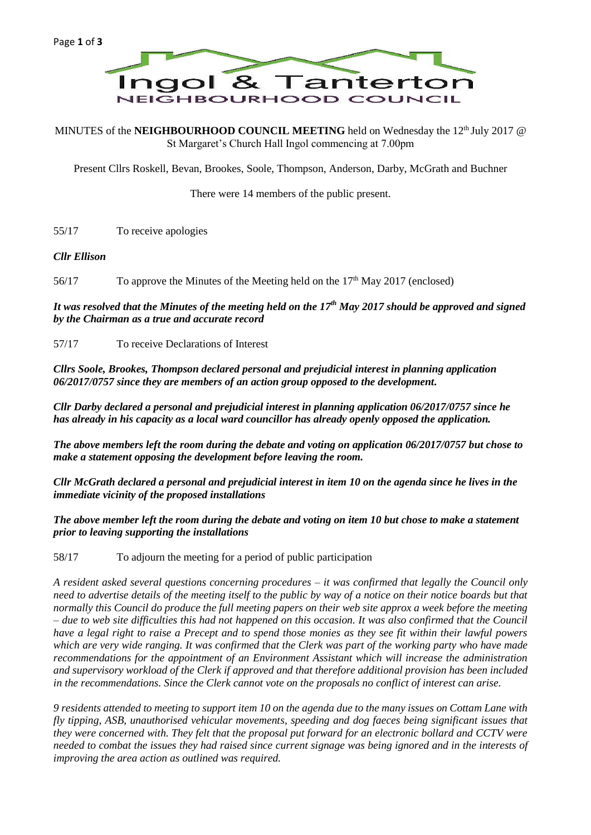

MINUTES of the **NEIGHBOURHOOD COUNCIL MEETING** held on Wednesday the 12<sup>th</sup> July 2017 @ St Margaret's Church Hall Ingol commencing at 7.00pm

Present Cllrs Roskell, Bevan, Brookes, Soole, Thompson, Anderson, Darby, McGrath and Buchner

There were 14 members of the public present.

55/17 To receive apologies

### *Cllr Ellison*

56/17 To approve the Minutes of the Meeting held on the 17<sup>th</sup> May 2017 (enclosed)

*It was resolved that the Minutes of the meeting held on the 17th May 2017 should be approved and signed by the Chairman as a true and accurate record*

57/17 To receive Declarations of Interest

*Cllrs Soole, Brookes, Thompson declared personal and prejudicial interest in planning application 06/2017/0757 since they are members of an action group opposed to the development.*

*Cllr Darby declared a personal and prejudicial interest in planning application 06/2017/0757 since he has already in his capacity as a local ward councillor has already openly opposed the application.*

*The above members left the room during the debate and voting on application 06/2017/0757 but chose to make a statement opposing the development before leaving the room.*

*Cllr McGrath declared a personal and prejudicial interest in item 10 on the agenda since he lives in the immediate vicinity of the proposed installations*

*The above member left the room during the debate and voting on item 10 but chose to make a statement prior to leaving supporting the installations*

58/17 To adjourn the meeting for a period of public participation

*A resident asked several questions concerning procedures – it was confirmed that legally the Council only need to advertise details of the meeting itself to the public by way of a notice on their notice boards but that normally this Council do produce the full meeting papers on their web site approx a week before the meeting – due to web site difficulties this had not happened on this occasion. It was also confirmed that the Council have a legal right to raise a Precept and to spend those monies as they see fit within their lawful powers which are very wide ranging. It was confirmed that the Clerk was part of the working party who have made recommendations for the appointment of an Environment Assistant which will increase the administration and supervisory workload of the Clerk if approved and that therefore additional provision has been included in the recommendations. Since the Clerk cannot vote on the proposals no conflict of interest can arise.*

*9 residents attended to meeting to support item 10 on the agenda due to the many issues on Cottam Lane with fly tipping, ASB, unauthorised vehicular movements, speeding and dog faeces being significant issues that they were concerned with. They felt that the proposal put forward for an electronic bollard and CCTV were needed to combat the issues they had raised since current signage was being ignored and in the interests of improving the area action as outlined was required.*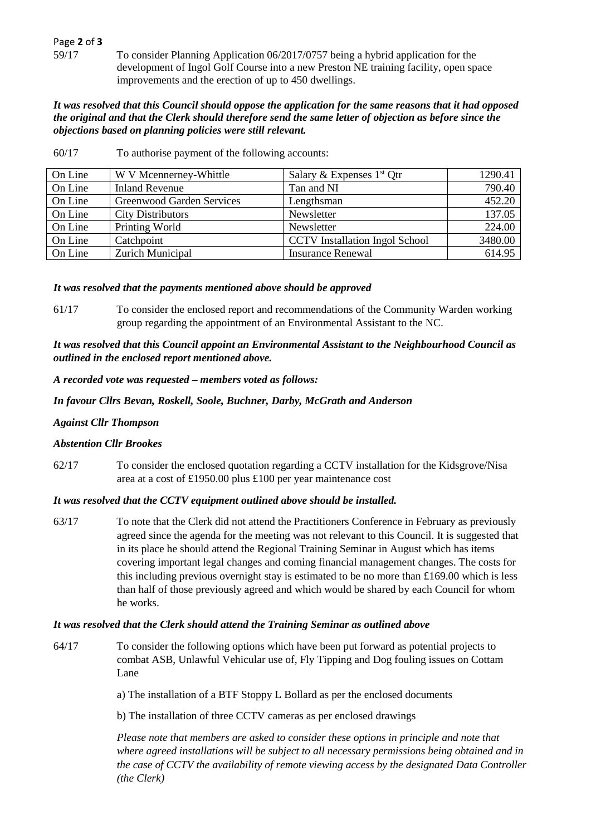# Page **2** of **3**

59/17 To consider Planning Application 06/2017/0757 being a hybrid application for the development of Ingol Golf Course into a new Preston NE training facility, open space improvements and the erection of up to 450 dwellings.

#### *It was resolved that this Council should oppose the application for the same reasons that it had opposed the original and that the Clerk should therefore send the same letter of objection as before since the objections based on planning policies were still relevant.*

| On Line | W V Mcennerney-Whittle    | Salary & Expenses $1st$ Qtr           | 1290.41 |
|---------|---------------------------|---------------------------------------|---------|
| On Line | <b>Inland Revenue</b>     | Tan and NI                            | 790.40  |
| On Line | Greenwood Garden Services | Lengthsman                            | 452.20  |
| On Line | <b>City Distributors</b>  | Newsletter                            | 137.05  |
| On Line | Printing World            | Newsletter                            | 224.00  |
| On Line | Catchpoint                | <b>CCTV</b> Installation Ingol School | 3480.00 |
| On Line | Zurich Municipal          | <b>Insurance Renewal</b>              | 614.95  |

60/17 To authorise payment of the following accounts:

### *It was resolved that the payments mentioned above should be approved*

61/17 To consider the enclosed report and recommendations of the Community Warden working group regarding the appointment of an Environmental Assistant to the NC.

*It was resolved that this Council appoint an Environmental Assistant to the Neighbourhood Council as outlined in the enclosed report mentioned above.*

*A recorded vote was requested – members voted as follows:*

### *In favour Cllrs Bevan, Roskell, Soole, Buchner, Darby, McGrath and Anderson*

## *Against Cllr Thompson*

## *Abstention Cllr Brookes*

62/17 To consider the enclosed quotation regarding a CCTV installation for the Kidsgrove/Nisa area at a cost of £1950.00 plus £100 per year maintenance cost

#### *It was resolved that the CCTV equipment outlined above should be installed.*

63/17 To note that the Clerk did not attend the Practitioners Conference in February as previously agreed since the agenda for the meeting was not relevant to this Council. It is suggested that in its place he should attend the Regional Training Seminar in August which has items covering important legal changes and coming financial management changes. The costs for this including previous overnight stay is estimated to be no more than £169.00 which is less than half of those previously agreed and which would be shared by each Council for whom he works.

### *It was resolved that the Clerk should attend the Training Seminar as outlined above*

64/17 To consider the following options which have been put forward as potential projects to combat ASB, Unlawful Vehicular use of, Fly Tipping and Dog fouling issues on Cottam Lane

a) The installation of a BTF Stoppy L Bollard as per the enclosed documents

b) The installation of three CCTV cameras as per enclosed drawings

*Please note that members are asked to consider these options in principle and note that where agreed installations will be subject to all necessary permissions being obtained and in the case of CCTV the availability of remote viewing access by the designated Data Controller (the Clerk)*